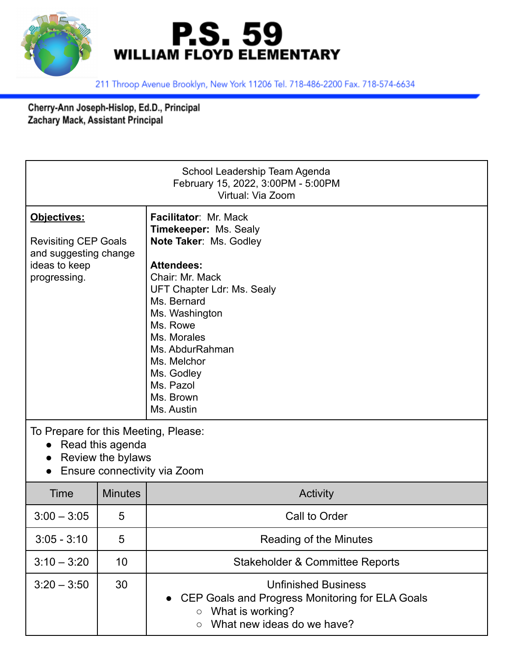



211 Throop Avenue Brooklyn, New York 11206 Tel. 718-486-2200 Fax. 718-574-6634

Cherry-Ann Joseph-Hislop, Ed.D., Principal Zachary Mack, Assistant Principal

| School Leadership Team Agenda<br>February 15, 2022, 3:00PM - 5:00PM<br>Virtual: Via Zoom                      |                |                                                                                                                                                                                                                                                                                                           |  |  |
|---------------------------------------------------------------------------------------------------------------|----------------|-----------------------------------------------------------------------------------------------------------------------------------------------------------------------------------------------------------------------------------------------------------------------------------------------------------|--|--|
| Objectives:<br><b>Revisiting CEP Goals</b><br>and suggesting change<br>ideas to keep<br>progressing.          |                | Facilitator: Mr. Mack<br><b>Timekeeper: Ms. Sealy</b><br>Note Taker: Ms. Godley<br><b>Attendees:</b><br>Chair: Mr. Mack<br>UFT Chapter Ldr: Ms. Sealy<br>Ms. Bernard<br>Ms. Washington<br>Ms. Rowe<br>Ms. Morales<br>Ms. AbdurRahman<br>Ms. Melchor<br>Ms. Godley<br>Ms. Pazol<br>Ms. Brown<br>Ms. Austin |  |  |
| To Prepare for this Meeting, Please:<br>Read this agenda<br>Review the bylaws<br>Ensure connectivity via Zoom |                |                                                                                                                                                                                                                                                                                                           |  |  |
| Time                                                                                                          | <b>Minutes</b> | Activity                                                                                                                                                                                                                                                                                                  |  |  |
| $3:00 - 3:05$                                                                                                 | 5              | Call to Order                                                                                                                                                                                                                                                                                             |  |  |
| $3:05 - 3:10$                                                                                                 | 5              | Reading of the Minutes                                                                                                                                                                                                                                                                                    |  |  |
| $3:10 - 3:20$                                                                                                 | 10             | <b>Stakeholder &amp; Committee Reports</b>                                                                                                                                                                                                                                                                |  |  |
| $3:20 - 3:50$                                                                                                 | 30             | <b>Unfinished Business</b><br>CEP Goals and Progress Monitoring for ELA Goals<br>What is working?<br>$\circ$<br>What new ideas do we have?<br>$\circ$                                                                                                                                                     |  |  |